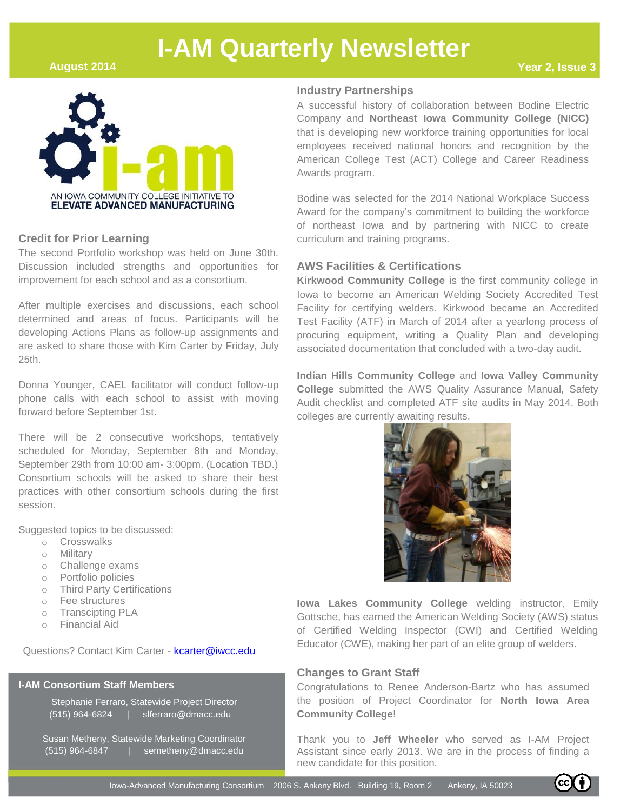**August 2014**



#### **Credit for Prior Learning**

The second Portfolio workshop was held on June 30th. Discussion included strengths and opportunities for improvement for each school and as a consortium.

After multiple exercises and discussions, each school determined and areas of focus. Participants will be developing Actions Plans as follow-up assignments and are asked to share those with Kim Carter by Friday, July 25th.

Donna Younger, CAEL facilitator will conduct follow-up phone calls with each school to assist with moving forward before September 1st.

There will be 2 consecutive workshops, tentatively scheduled for Monday, September 8th and Monday, September 29th from 10:00 am- 3:00pm. (Location TBD.) Consortium schools will be asked to share their best practices with other consortium schools during the first session.

Suggested topics to be discussed:

- o Crosswalks
- o Military
- o Challenge exams
- o Portfolio policies
- o Third Party Certifications
- o Fee structures
- o Transcipting PLA
- o Financial Aid

Questions? Contact Kim Carter - [kcarter@iwcc.edu](mailto:kcarter@iwcc.edu)

#### **I-AM Consortium Staff Members**

Stephanie Ferraro, Statewide Project Director (515) 964-6824 | slferraro@dmacc.edu

Susan Metheny, Statewide Marketing Coordinator (515) 964-6847 | semetheny@dmacc.edu

#### **Industry Partnerships**

A successful history of collaboration between Bodine Electric Company and **Northeast Iowa Community College (NICC)** that is developing new workforce training opportunities for local employees received national honors and recognition by the American College Test (ACT) College and Career Readiness Awards program.

Bodine was selected for the 2014 National Workplace Success Award for the company's commitment to building the workforce of northeast Iowa and by partnering with NICC to create curriculum and training programs.

#### **AWS Facilities & Certifications**

**Kirkwood Community College** is the first community college in Iowa to become an American Welding Society Accredited Test Facility for certifying welders. Kirkwood became an Accredited Test Facility (ATF) in March of 2014 after a yearlong process of procuring equipment, writing a Quality Plan and developing associated documentation that concluded with a two-day audit.

**Indian Hills Community College** and **Iowa Valley Community College** submitted the AWS Quality Assurance Manual, Safety Audit checklist and completed ATF site audits in May 2014. Both colleges are currently awaiting results.



**Iowa Lakes Community College** welding instructor, Emily Gottsche, has earned the American Welding Society (AWS) status of Certified Welding Inspector (CWI) and Certified Welding Educator (CWE), making her part of an elite group of welders.

#### **Changes to Grant Staff**

Congratulations to Renee Anderson-Bartz who has assumed the position of Project Coordinator for **North Iowa Area Community College**!

Thank you to **Jeff Wheeler** who served as I-AM Project Assistant since early 2013. We are in the process of finding a new candidate for this position.